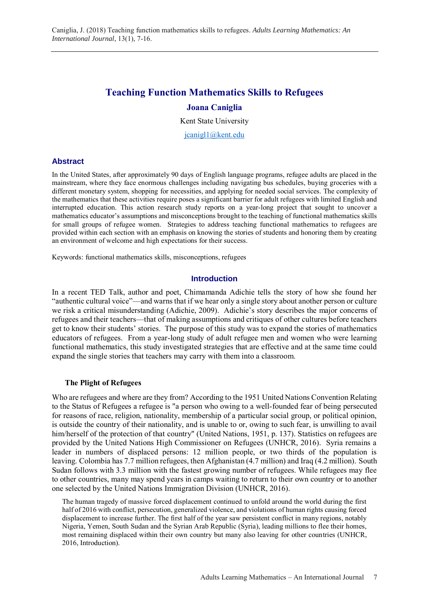# **Teaching Function Mathematics Skills to Refugees**

# **Joana Caniglia**

Kent State University

jcanigl1@kent.edu

### **Abstract**

In the United States, after approximately 90 days of English language programs, refugee adults are placed in the mainstream, where they face enormous challenges including navigating bus schedules, buying groceries with a different monetary system, shopping for necessities, and applying for needed social services. The complexity of the mathematics that these activities require poses a significant barrier for adult refugees with limited English and interrupted education. This action research study reports on a year-long project that sought to uncover a mathematics educator's assumptions and misconceptions brought to the teaching of functional mathematics skills for small groups of refugee women. Strategies to address teaching functional mathematics to refugees are provided within each section with an emphasis on knowing the stories of students and honoring them by creating an environment of welcome and high expectations for their success.

Keywords: functional mathematics skills, misconceptions, refugees

### **Introduction**

In a recent TED Talk, author and poet, Chimamanda Adichie tells the story of how she found her "authentic cultural voice"—and warns that if we hear only a single story about another person or culture we risk a critical misunderstanding (Adichie, 2009). Adichie's story describes the major concerns of refugees and their teachers—that of making assumptions and critiques of other cultures before teachers get to know their students' stories. The purpose of this study was to expand the stories of mathematics educators of refugees. From a year-long study of adult refugee men and women who were learning functional mathematics, this study investigated strategies that are effective and at the same time could expand the single stories that teachers may carry with them into a classroom.

# **The Plight of Refugees**

Who are refugees and where are they from? According to the 1951 United Nations Convention Relating to the Status of Refugees a refugee is "a person who owing to a well-founded fear of being persecuted for reasons of race, religion, nationality, membership of a particular social group, or political opinion, is outside the country of their nationality, and is unable to or, owing to such fear, is unwilling to avail him/herself of the protection of that country" (United Nations, 1951, p. 137). Statistics on refugees are provided by the United Nations High Commissioner on Refugees (UNHCR, 2016). Syria remains a leader in numbers of displaced persons: 12 million people, or two thirds of the population is leaving. Colombia has 7.7 million refugees, then Afghanistan (4.7 million) and Iraq (4.2 million). South Sudan follows with 3.3 million with the fastest growing number of refugees. While refugees may flee to other countries, many may spend years in camps waiting to return to their own country or to another one selected by the United Nations Immigration Division (UNHCR, 2016).

The human tragedy of massive forced displacement continued to unfold around the world during the first half of 2016 with conflict, persecution, generalized violence, and violations of human rights causing forced displacement to increase further. The first half of the year saw persistent conflict in many regions, notably Nigeria, Yemen, South Sudan and the Syrian Arab Republic (Syria), leading millions to flee their homes, most remaining displaced within their own country but many also leaving for other countries (UNHCR, 2016, Introduction).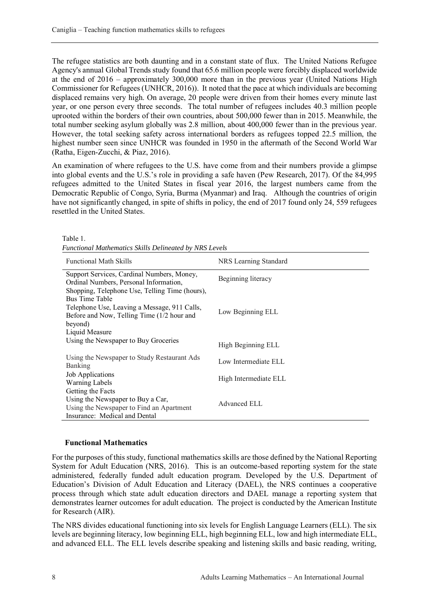The refugee statistics are both daunting and in a constant state of flux. The United Nations Refugee Agency's annual Global Trends study found that 65.6 million people were forcibly displaced worldwide at the end of 2016 – approximately 300,000 more than in the previous year (United Nations High Commissioner for Refugees (UNHCR, 2016)). It noted that the pace at which individuals are becoming displaced remains very high. On average, 20 people were driven from their homes every minute last year, or one person every three seconds. The total number of refugees includes 40.3 million people uprooted within the borders of their own countries, about 500,000 fewer than in 2015. Meanwhile, the total number seeking asylum globally was 2.8 million, about 400,000 fewer than in the previous year. However, the total seeking safety across international borders as refugees topped 22.5 million, the highest number seen since UNHCR was founded in 1950 in the aftermath of the Second World War (Ratha, Eigen-Zucchi, & Piaz, 2016).

An examination of where refugees to the U.S. have come from and their numbers provide a glimpse into global events and the U.S.'s role in providing a safe haven (Pew Research, 2017). Of the 84,995 refugees admitted to the United States in fiscal year 2016, the largest numbers came from the Democratic Republic of Congo, Syria, Burma (Myanmar) and Iraq. Although the countries of origin have not significantly changed, in spite of shifts in policy, the end of 2017 found only 24, 559 refugees resettled in the United States.

| Functional Mathematics Skills Delineated by NRS Levels                                     |                       |  |
|--------------------------------------------------------------------------------------------|-----------------------|--|
| <b>Functional Math Skills</b>                                                              | NRS Learning Standard |  |
| Support Services, Cardinal Numbers, Money,<br>Ordinal Numbers, Personal Information,       | Beginning literacy    |  |
| Shopping, Telephone Use, Telling Time (hours),<br>Bus Time Table                           |                       |  |
| Telephone Use, Leaving a Message, 911 Calls,<br>Before and Now, Telling Time (1/2 hour and | Low Beginning ELL     |  |
| beyond)                                                                                    |                       |  |
| Liquid Measure                                                                             |                       |  |
| Using the Newspaper to Buy Groceries                                                       | High Beginning ELL    |  |
| Using the Newspaper to Study Restaurant Ads<br>Banking                                     | Low Intermediate ELL  |  |
| Job Applications                                                                           |                       |  |
| Warning Labels                                                                             | High Intermediate ELL |  |
| Getting the Facts                                                                          |                       |  |
| Using the Newspaper to Buy a Car,                                                          |                       |  |
| Using the Newspaper to Find an Apartment                                                   | Advanced ELL          |  |
| Insurance: Medical and Dental                                                              |                       |  |

Table 1. *Functional Mathematics Skills Delineated by NRS Levels*

# **Functional Mathematics**

For the purposes of this study, functional mathematics skills are those defined by the National Reporting System for Adult Education (NRS, 2016). This is an outcome-based reporting system for the state administered, federally funded adult education program. Developed by the U.S. Department of Education's Division of Adult Education and Literacy (DAEL), the NRS continues a cooperative process through which state adult education directors and DAEL manage a reporting system that demonstrates learner outcomes for adult education. The project is conducted by the American Institute for Research (AIR).

The NRS divides educational functioning into six levels for English Language Learners (ELL). The six levels are beginning literacy, low beginning ELL, high beginning ELL, low and high intermediate ELL, and advanced ELL. The ELL levels describe speaking and listening skills and basic reading, writing,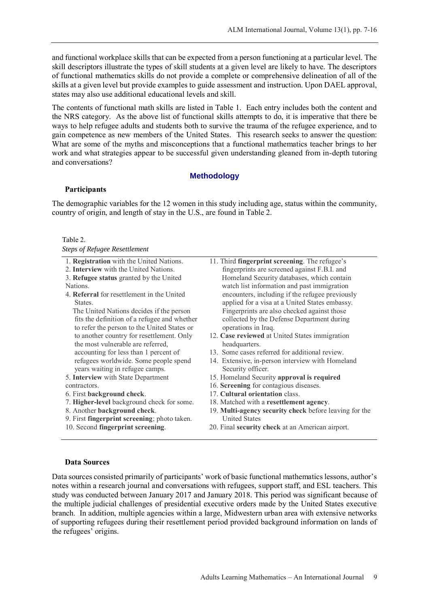and functional workplace skills that can be expected from a person functioning at a particular level. The skill descriptors illustrate the types of skill students at a given level are likely to have. The descriptors of functional mathematics skills do not provide a complete or comprehensive delineation of all of the skills at a given level but provide examples to guide assessment and instruction. Upon DAEL approval, states may also use additional educational levels and skill.

The contents of functional math skills are listed in Table 1. Each entry includes both the content and the NRS category. As the above list of functional skills attempts to do, it is imperative that there be ways to help refugee adults and students both to survive the trauma of the refugee experience, and to gain competence as new members of the United States. This research seeks to answer the question: What are some of the myths and misconceptions that a functional mathematics teacher brings to her work and what strategies appear to be successful given understanding gleaned from in-depth tutoring and conversations?

# **Methodology**

### **Participants**

The demographic variables for the 12 women in this study including age, status within the community, country of origin, and length of stay in the U.S., are found in Table 2.

### Table 2.

|  |  | <b>Steps of Refugee Resettlement</b> |
|--|--|--------------------------------------|
|--|--|--------------------------------------|

| 1. Registration with the United Nations.          | 11. Third fingerprint screening. The refugee's                |
|---------------------------------------------------|---------------------------------------------------------------|
| 2. Interview with the United Nations.             | fingerprints are screened against F.B.I. and                  |
| 3. Refugee status granted by the United           | Homeland Security databases, which contain                    |
| Nations.                                          | watch list information and past immigration                   |
| 4. <b>Referral</b> for resettlement in the United | encounters, including if the refugee previously               |
| States.                                           | applied for a visa at a United States embassy.                |
| The United Nations decides if the person          | Fingerprints are also checked against those                   |
| fits the definition of a refugee and whether      | collected by the Defense Department during                    |
| to refer the person to the United States or       | operations in Iraq.                                           |
| to another country for resettlement. Only         | 12. Case reviewed at United States immigration                |
| the most vulnerable are referred,                 | headquarters.                                                 |
| accounting for less than 1 percent of             | 13. Some cases referred for additional review.                |
| refugees worldwide. Some people spend             | 14. Extensive, in-person interview with Homeland              |
| years waiting in refugee camps.                   | Security officer.                                             |
| 5. Interview with State Department                | 15. Homeland Security approval is required                    |
| contractors.                                      | 16. Screening for contagious diseases.                        |
| 6. First background check.                        | 17. Cultural orientation class.                               |
| 7. Higher-level background check for some.        | 18. Matched with a resettlement agency.                       |
| 8. Another background check.                      | 19. <b>Multi-agency security check</b> before leaving for the |
| 9. First fingerprint screening; photo taken.      | <b>United States</b>                                          |
| 10. Second fingerprint screening.                 | 20. Final security check at an American airport.              |
|                                                   |                                                               |

# **Data Sources**

Data sources consisted primarily of participants' work of basic functional mathematics lessons, author's notes within a research journal and conversations with refugees, support staff, and ESL teachers. This study was conducted between January 2017 and January 2018. This period was significant because of the multiple judicial challenges of presidential executive orders made by the United States executive branch. In addition, multiple agencies within a large, Midwestern urban area with extensive networks of supporting refugees during their resettlement period provided background information on lands of the refugees' origins.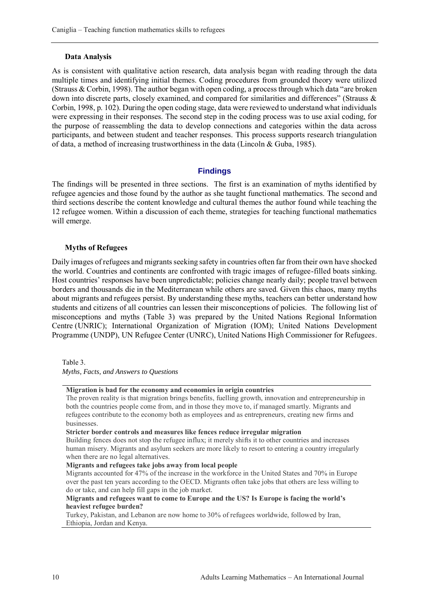#### **Data Analysis**

As is consistent with qualitative action research, data analysis began with reading through the data multiple times and identifying initial themes. Coding procedures from grounded theory were utilized (Strauss & Corbin, 1998). The author began with open coding, a process through which data "are broken down into discrete parts, closely examined, and compared for similarities and differences" (Strauss & Corbin, 1998, p. 102). During the open coding stage, data were reviewed to understand what individuals were expressing in their responses. The second step in the coding process was to use axial coding, for the purpose of reassembling the data to develop connections and categories within the data across participants, and between student and teacher responses. This process supports research triangulation of data, a method of increasing trustworthiness in the data (Lincoln & Guba, 1985).

### **Findings**

The findings will be presented in three sections. The first is an examination of myths identified by refugee agencies and those found by the author as she taught functional mathematics. The second and third sections describe the content knowledge and cultural themes the author found while teaching the 12 refugee women. Within a discussion of each theme, strategies for teaching functional mathematics will emerge.

### **Myths of Refugees**

Daily images of refugees and migrants seeking safety in countries often far from their own have shocked the world. Countries and continents are confronted with tragic images of refugee-filled boats sinking. Host countries' responses have been unpredictable; policies change nearly daily; people travel between borders and thousands die in the Mediterranean while others are saved. Given this chaos, many myths about migrants and refugees persist. By understanding these myths, teachers can better understand how students and citizens of all countries can lessen their misconceptions of policies. The following list of misconceptions and myths (Table 3) was prepared by the United Nations Regional Information Centre (UNRIC); International Organization of Migration (IOM); United Nations Development Programme (UNDP), UN Refugee Center (UNRC), United Nations High Commissioner for Refugees.

*Myths, Facts, and Answers to Questions*

**Migration is bad for the economy and economies in origin countries**

The proven reality is that migration brings benefits, fuelling growth, innovation and entrepreneurship in both the countries people come from, and in those they move to, if managed smartly. Migrants and refugees contribute to the economy both as employees and as entrepreneurs, creating new firms and businesses.

Building fences does not stop the refugee influx; it merely shifts it to other countries and increases human misery. Migrants and asylum seekers are more likely to resort to entering a country irregularly when there are no legal alternatives.

**Migrants and refugees take jobs away from local people**

Migrants accounted for 47% of the increase in the workforce in the United States and 70% in Europe over the past ten years according to the OECD. Migrants often take jobs that others are less willing to do or take, and can help fill gaps in the job market.

**Migrants and refugees want to come to Europe and the US? Is Europe is facing the world's heaviest refugee burden?**

Turkey, Pakistan, and Lebanon are now home to 30% of refugees worldwide, followed by Iran, Ethiopia, Jordan and Kenya.

Table 3.

**Stricter border controls and measures like fences reduce irregular migration**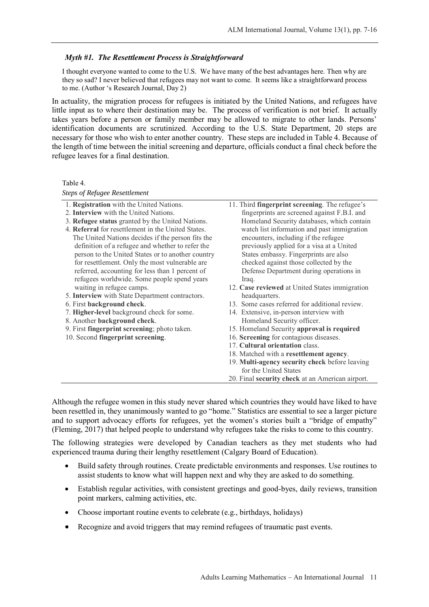### *Myth #1. The Resettlement Process is Straightforward*

I thought everyone wanted to come to the U.S. We have many of the best advantages here. Then why are they so sad? I never believed that refugees may not want to come. It seems like a straightforward process to me. (Author 's Research Journal, Day 2)

In actuality, the migration process for refugees is initiated by the United Nations, and refugees have little input as to where their destination may be. The process of verification is not brief. It actually takes years before a person or family member may be allowed to migrate to other lands. Persons' identification documents are scrutinized. According to the U.S. State Department, 20 steps are necessary for those who wish to enter another country. These steps are included in Table 4. Because of the length of time between the initial screening and departure, officials conduct a final check before the refugee leaves for a final destination.

Table 4.

*Steps of Refugee Resettlement*

- 1. **Registration** with the United Nations.
- 2. **Interview** with the United Nations.
- 3. **Refugee status** granted by the United Nations.
- 4. **Referral** for resettlement in the United States. The United Nations decides if the person fits the definition of a refugee and whether to refer the person to the United States or to another country for resettlement. Only the most vulnerable are referred, accounting for less than 1 percent of refugees worldwide. Some people spend years waiting in refugee camps.
- 5. **Interview** with State Department contractors.
- 6. First **background check**.
- 7. **Higher-level** background check for some.
- 8. Another **background check**.
- 9. First **fingerprint screening**; photo taken.
- 10. Second **fingerprint screening**.
- 11. Third **fingerprint screening**. The refugee's fingerprints are screened against F.B.I. and Homeland Security databases, which contain watch list information and past immigration encounters, including if the refugee previously applied for a visa at a United States embassy. Fingerprints are also checked against those collected by the Defense Department during operations in Iraq.
- 12. **Case reviewed** at United States immigration headquarters.
- 13. Some cases referred for additional review.
- 14. Extensive, in-person interview with Homeland Security officer.
- 15. Homeland Security **approval is required**
- 16. **Screening** for contagious diseases.
	- 17. **Cultural orientation** class.
	- 18. Matched with a **resettlement agency**.
	- 19. **Multi-agency security check** before leaving for the United States
	- 20. Final **security check** at an American airport.

Although the refugee women in this study never shared which countries they would have liked to have been resettled in, they unanimously wanted to go "home." Statistics are essential to see a larger picture and to support advocacy efforts for refugees, yet the women's stories built a "bridge of empathy" (Fleming, 2017) that helped people to understand why refugees take the risks to come to this country.

The following strategies were developed by Canadian teachers as they met students who had experienced trauma during their lengthy resettlement (Calgary Board of Education).

- Build safety through routines. Create predictable environments and responses. Use routines to assist students to know what will happen next and why they are asked to do something.
- Establish regular activities, with consistent greetings and good-byes, daily reviews, transition point markers, calming activities, etc.
- Choose important routine events to celebrate (e.g., birthdays, holidays)
- Recognize and avoid triggers that may remind refugees of traumatic past events.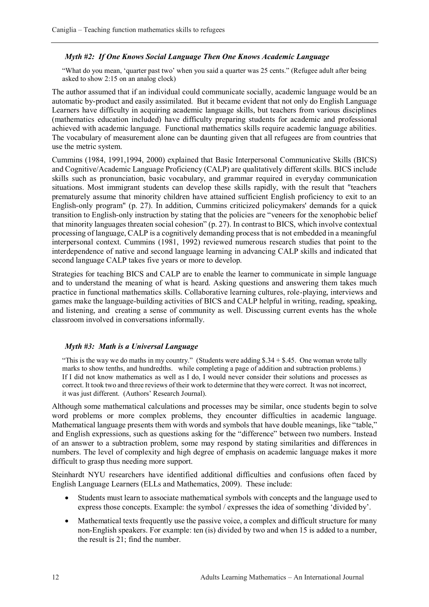# *Myth #2: If One Knows Social Language Then One Knows Academic Language*

"What do you mean, 'quarter past two' when you said a quarter was 25 cents." (Refugee adult after being asked to show 2:15 on an analog clock)

The author assumed that if an individual could communicate socially, academic language would be an automatic by-product and easily assimilated. But it became evident that not only do English Language Learners have difficulty in acquiring academic language skills, but teachers from various disciplines (mathematics education included) have difficulty preparing students for academic and professional achieved with academic language. Functional mathematics skills require academic language abilities. The vocabulary of measurement alone can be daunting given that all refugees are from countries that use the metric system.

Cummins (1984, 1991,1994, 2000) explained that Basic Interpersonal Communicative Skills (BICS) and Cognitive/Academic Language Proficiency (CALP) are qualitatively different skills. BICS include skills such as pronunciation, basic vocabulary, and grammar required in everyday communication situations. Most immigrant students can develop these skills rapidly, with the result that "teachers prematurely assume that minority children have attained sufficient English proficiency to exit to an English-only program" (p. 27). In addition, Cummins criticized policymakers' demands for a quick transition to English-only instruction by stating that the policies are "veneers for the xenophobic belief that minority languages threaten social cohesion" (p. 27). In contrast to BICS, which involve contextual processing of language, CALP is a cognitively demanding process that is not embedded in a meaningful interpersonal context. Cummins (1981, 1992) reviewed numerous research studies that point to the interdependence of native and second language learning in advancing CALP skills and indicated that second language CALP takes five years or more to develop.

Strategies for teaching BICS and CALP are to enable the learner to communicate in simple language and to understand the meaning of what is heard. Asking questions and answering them takes much practice in functional mathematics skills. Collaborative learning cultures, role-playing, interviews and games make the language-building activities of BICS and CALP helpful in writing, reading, speaking, and listening, and creating a sense of community as well. Discussing current events has the whole classroom involved in conversations informally.

### *Myth #3: Math is a Universal Language*

"This is the way we do maths in my country." (Students were adding  $$34 + $45$ . One woman wrote tally marks to show tenths, and hundredths. while completing a page of addition and subtraction problems.) If I did not know mathematics as well as I do, I would never consider their solutions and processes as correct. It took two and three reviews of their work to determine that they were correct. It was not incorrect, it was just different. (Authors' Research Journal).

Although some mathematical calculations and processes may be similar, once students begin to solve word problems or more complex problems, they encounter difficulties in academic language. Mathematical language presents them with words and symbols that have double meanings, like "table," and English expressions, such as questions asking for the "difference" between two numbers. Instead of an answer to a subtraction problem, some may respond by stating similarities and differences in numbers. The level of complexity and high degree of emphasis on academic language makes it more difficult to grasp thus needing more support.

Steinhardt NYU researchers have identified additional difficulties and confusions often faced by English Language Learners (ELLs and Mathematics, 2009). These include:

- Students must learn to associate mathematical symbols with concepts and the language used to express those concepts. Example: the symbol / expresses the idea of something 'divided by'.
- Mathematical texts frequently use the passive voice, a complex and difficult structure for many non-English speakers. For example: ten (is) divided by two and when 15 is added to a number, the result is 21; find the number.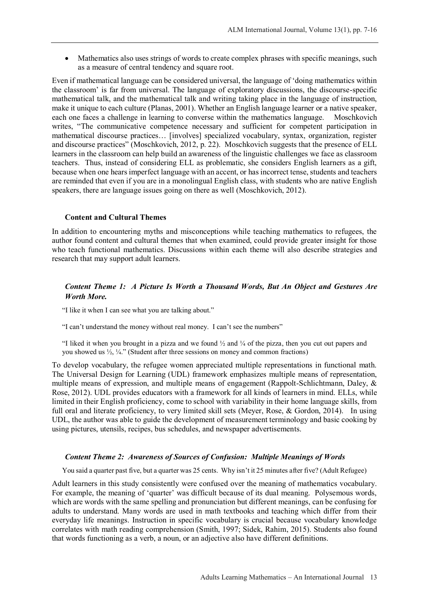• Mathematics also uses strings of words to create complex phrases with specific meanings, such as a measure of central tendency and square root.

Even if mathematical language can be considered universal, the language of 'doing mathematics within the classroom' is far from universal. The language of exploratory discussions, the discourse-specific mathematical talk, and the mathematical talk and writing taking place in the language of instruction, make it unique to each culture (Planas, 2001). Whether an English language learner or a native speaker, each one faces a challenge in learning to converse within the mathematics language. Moschkovich writes, "The communicative competence necessary and sufficient for competent participation in mathematical discourse practices… [involves] specialized vocabulary, syntax, organization, register and discourse practices" (Moschkovich, 2012, p. 22). Moschkovich suggests that the presence of ELL learners in the classroom can help build an awareness of the linguistic challenges we face as classroom teachers. Thus, instead of considering ELL as problematic, she considers English learners as a gift, because when one hears imperfect language with an accent, or has incorrect tense, students and teachers are reminded that even if you are in a monolingual English class, with students who are native English speakers, there are language issues going on there as well (Moschkovich, 2012).

### **Content and Cultural Themes**

In addition to encountering myths and misconceptions while teaching mathematics to refugees, the author found content and cultural themes that when examined, could provide greater insight for those who teach functional mathematics. Discussions within each theme will also describe strategies and research that may support adult learners.

# *Content Theme 1: A Picture Is Worth a Thousand Words, But An Object and Gestures Are Worth More.*

"I like it when I can see what you are talking about."

"I can't understand the money without real money. I can't see the numbers"

"I liked it when you brought in a pizza and we found ½ and ¼ of the pizza, then you cut out papers and you showed us  $\frac{1}{2}$ ,  $\frac{1}{4}$ ." (Student after three sessions on money and common fractions)

To develop vocabulary, the refugee women appreciated multiple representations in functional math. The Universal Design for Learning (UDL) framework emphasizes multiple means of representation, multiple means of expression, and multiple means of engagement (Rappolt-Schlichtmann, Daley, & Rose, 2012). UDL provides educators with a framework for all kinds of learners in mind. ELLs, while limited in their English proficiency, come to school with variability in their home language skills, from full oral and literate proficiency, to very limited skill sets (Meyer, Rose, & Gordon, 2014). In using UDL, the author was able to guide the development of measurement terminology and basic cooking by using pictures, utensils, recipes, bus schedules, and newspaper advertisements.

### *Content Theme 2: Awareness of Sources of Confusion: Multiple Meanings of Words*

You said a quarter past five, but a quarter was 25 cents. Why isn't it 25 minutes after five? (Adult Refugee)

Adult learners in this study consistently were confused over the meaning of mathematics vocabulary. For example, the meaning of 'quarter' was difficult because of its dual meaning. Polysemous words, which are words with the same spelling and pronunciation but different meanings, can be confusing for adults to understand. Many words are used in math textbooks and teaching which differ from their everyday life meanings. Instruction in specific vocabulary is crucial because vocabulary knowledge correlates with math reading comprehension (Smith, 1997; Sidek, Rahim, 2015). Students also found that words functioning as a verb, a noun, or an adjective also have different definitions.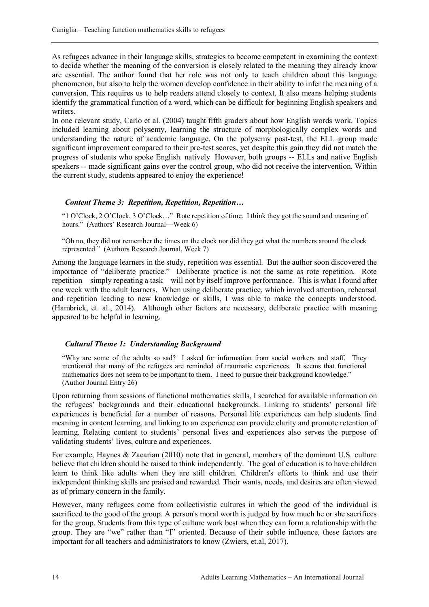As refugees advance in their language skills, strategies to become competent in examining the context to decide whether the meaning of the conversion is closely related to the meaning they already know are essential. The author found that her role was not only to teach children about this language phenomenon, but also to help the women develop confidence in their ability to infer the meaning of a conversion. This requires us to help readers attend closely to context. It also means helping students identify the grammatical function of a word, which can be difficult for beginning English speakers and writers.

In one relevant study, Carlo et al. (2004) taught fifth graders about how English words work. Topics included learning about polysemy, learning the structure of morphologically complex words and understanding the nature of academic language. On the polysemy post-test, the ELL group made significant improvement compared to their pre-test scores, yet despite this gain they did not match the progress of students who spoke English. natively However, both groups -- ELLs and native English speakers -- made significant gains over the control group, who did not receive the intervention. Within the current study, students appeared to enjoy the experience!

### *Content Theme 3: Repetition, Repetition, Repetition…*

"1 O'Clock, 2 O'Clock, 3 O'Clock…" Rote repetition of time. I think they got the sound and meaning of hours." (Authors' Research Journal—Week 6)

"Oh no, they did not remember the times on the clock nor did they get what the numbers around the clock represented." (Authors Research Journal, Week 7)

Among the language learners in the study, repetition was essential. But the author soon discovered the importance of "deliberate practice." Deliberate practice is not the same as rote repetition. Rote repetition—simply repeating a task—will not by itself improve performance. This is what I found after one week with the adult learners. When using deliberate practice, which involved attention, rehearsal and repetition leading to new knowledge or skills, I was able to make the concepts understood. (Hambrick, et. al., 2014). Although other factors are necessary, deliberate practice with meaning appeared to be helpful in learning.

# *Cultural Theme 1: Understanding Background*

"Why are some of the adults so sad? I asked for information from social workers and staff. They mentioned that many of the refugees are reminded of traumatic experiences. It seems that functional mathematics does not seem to be important to them. I need to pursue their background knowledge." (Author Journal Entry 26)

Upon returning from sessions of functional mathematics skills, I searched for available information on the refugees' backgrounds and their educational backgrounds. Linking to students' personal life experiences is beneficial for a number of reasons. Personal life experiences can help students find meaning in content learning, and linking to an experience can provide clarity and promote retention of learning. Relating content to students' personal lives and experiences also serves the purpose of validating students' lives, culture and experiences.

For example, Haynes & Zacarian (2010) note that in general, members of the dominant U.S. culture believe that children should be raised to think independently. The goal of education is to have children learn to think like adults when they are still children. Children's efforts to think and use their independent thinking skills are praised and rewarded. Their wants, needs, and desires are often viewed as of primary concern in the family.

However, many refugees come from collectivistic cultures in which the good of the individual is sacrificed to the good of the group. A person's moral worth is judged by how much he or she sacrifices for the group. Students from this type of culture work best when they can form a relationship with the group. They are "we" rather than "I" oriented. Because of their subtle influence, these factors are important for all teachers and administrators to know (Zwiers, et.al, 2017).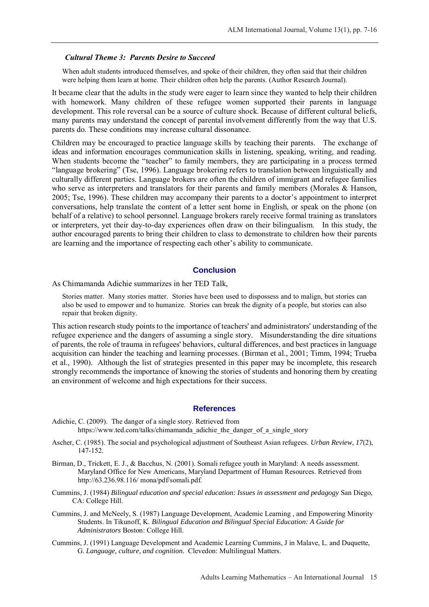### *Cultural Theme 3: Parents Desire to Succeed*

When adult students introduced themselves, and spoke of their children, they often said that their children were helping them learn at home. Their children often help the parents. (Author Research Journal).

It became clear that the adults in the study were eager to learn since they wanted to help their children with homework. Many children of these refugee women supported their parents in language development. This role reversal can be a source of culture shock. Because of different cultural beliefs, many parents may understand the concept of parental involvement differently from the way that U.S. parents do. These conditions may increase cultural dissonance.

Children may be encouraged to practice language skills by teaching their parents. The exchange of ideas and information encourages communication skills in listening, speaking, writing, and reading. When students become the "teacher" to family members, they are participating in a process termed "language brokering" (Tse, 1996). Language brokering refers to translation between linguistically and culturally different parties. Language brokers are often the children of immigrant and refugee families who serve as interpreters and translators for their parents and family members (Morales & Hanson, 2005; Tse, 1996). These children may accompany their parents to a doctor's appointment to interpret conversations, help translate the content of a letter sent home in English, or speak on the phone (on behalf of a relative) to school personnel. Language brokers rarely receive formal training as translators or interpreters, yet their day-to-day experiences often draw on their bilingualism. In this study, the author encouraged parents to bring their children to class to demonstrate to children how their parents are learning and the importance of respecting each other's ability to communicate.

### **Conclusion**

As Chimamanda Adichie summarizes in her TED Talk,

Stories matter. Many stories matter. Stories have been used to dispossess and to malign, but stories can also be used to empower and to humanize. Stories can break the dignity of a people, but stories can also repair that broken dignity.

This action research study points to the importance of teachers' and administrators' understanding of the refugee experience and the dangers of assuming a single story. Misunderstanding the dire situations of parents, the role of trauma in refugees' behaviors, cultural differences, and best practices in language acquisition can hinder the teaching and learning processes. (Birman et al., 2001; Timm, 1994; Trueba et al., 1990). Although the list of strategies presented in this paper may be incomplete, this research strongly recommends the importance of knowing the stories of students and honoring them by creating an environment of welcome and high expectations for their success.

#### **References**

- Adichie, C. (2009). The danger of a single story. Retrieved from https://www.ted.com/talks/chimamanda\_adichie\_the\_danger\_of\_a\_single\_story
- Ascher, C. (1985). The social and psychological adjustment of Southeast Asian refugees. *Urban Review*, *17*(2), 147-152.
- Birman, D., Trickett, E. J., & Bacchus, N. (2001). Somali refugee youth in Maryland: A needs assessment. Maryland Office for New Americans, Maryland Department of Human Resources. Retrieved from http://63.236.98.116/ mona/pdf/somali.pdf.
- Cummins, J. (1984) *Bilingual education and special education: Issues in assessment and pedagogy* San Diego, CA: College Hill.
- Cummins, J. and McNeely, S. (1987) Language Development, Academic Learning , and Empowering Minority Students. In Tikunoff, K. *Bilingual Education and Bilingual Special Education: A Guide for Administrators* Boston: College Hill.
- Cummins, J. (1991) Language Development and Academic Learning Cummins, J in Malave, L. and Duquette, G. *Language, culture, and cognition.* Clevedon: Multilingual Matters.